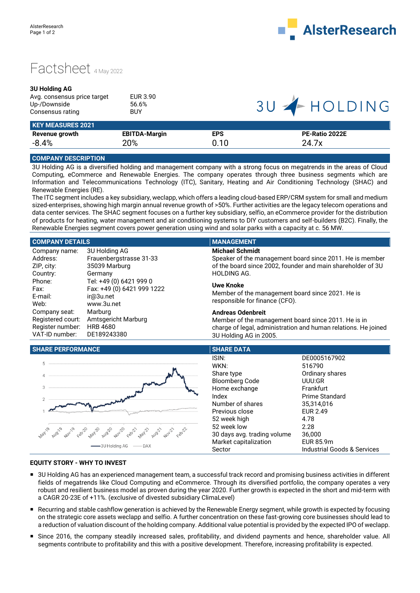

## Factsheet 4May 2022

## **3U Holding AG**

| Avg. consensus price target | EUR 3.90   |
|-----------------------------|------------|
| Up-/Downside                | 56.6%      |
| Consensus rating            | <b>BUY</b> |
|                             |            |

## 3U - HOLDING

| <b>KEY MEASURES 2021</b> |                      |            |                |
|--------------------------|----------------------|------------|----------------|
| Revenue growth           | <b>EBITDA-Margin</b> | <b>EPS</b> | PE-Ratio 2022E |
| $-8.4%$                  | 20%                  | 0.10       | 24.7x          |
|                          |                      |            |                |

## **COMPANY DESCRIPTION**

3U Holding AG is a diversified holding and management company with a strong focus on megatrends in the areas of Cloud Computing, eCommerce and Renewable Energies. The company operates through three business segments which are Information and Telecommunications Technology (ITC), Sanitary, Heating and Air Conditioning Technology (SHAC) and Renewable Energies (RE).

The ITC segment includes a key subsidiary, weclapp, which offers a leading cloud-based ERP/CRM system for small and medium sized-enterprises, showing high margin annual revenue growth of >50%. Further activities are the legacy telecom operations and data center services. The SHAC segment focuses on a further key subsidiary, selfio, an eCommerce provider for the distribution of products for heating, water management and air conditioning systems to DIY customers and self-builders (B2C). Finally, the Renewable Energies segment covers power generation using wind and solar parks with a capacity at c. 56 MW.

### **COMPANY DETAILS MANAGEMENT** Company name: Address: ZIP, city: Country: Phone: Fax: E-mail: Web: Company seat: Registered court: Amtsgericht Marburg Register number: HRB 4680 VAT-ID number: 3U Holding AG Frauenbergstrasse 31-33 35039 Marburg Germany Tel: +49 (0) 6421 999 0 Fax: +49 (0) 6421 999 1222 ir@3u.net www.3u.net Marburg DE189243380 **Michael Schmidt** Speaker of the management board since 2011. He is member of the board since 2002, founder and main shareholder of 3U HOLDING AG. **Uwe Knoke** Member of the management board since 2021. He is responsible for finance (CFO). **Andreas Odenbreit** Member of the management board since 2011. He is in charge of legal, administration and human relations. He joined 3U Holding AG in 2005.

## **SHARE PERFORMANCE SHARE DATA**



| ISIN:                       | DE0005167902                |
|-----------------------------|-----------------------------|
| WKN:                        | 516790                      |
| Share type                  | Ordinary shares             |
| <b>Bloomberg Code</b>       | UUU:GR                      |
| Home exchange               | Frankfurt                   |
| Index                       | Prime Standard              |
| Number of shares            | 35,314,016                  |
| Previous close              | <b>EUR 2.49</b>             |
| 52 week high                | 4.78                        |
| 52 week low                 | 2.28                        |
| 30 days avg. trading volume | 36,000                      |
| Market capitalization       | EUR 85.9m                   |
| Sector                      | Industrial Goods & Services |

### **EQUITY STORY - WHY TO INVEST**

- 3U Holding AG has an experienced management team, a successful track record and promising business activities in different fields of megatrends like Cloud Computing and eCommerce. Through its diversified portfolio, the company operates a very robust and resilient business model as proven during the year 2020. Further growth is expected in the short and mid-term with a CAGR 20-23E of +11%. (exclusive of divested subsidiary ClimaLevel)
- Recurring and stable cashflow generation is achieved by the Renewable Energy segment, while growth is expected by focusing on the strategic core assets weclapp and selfio. A further concentration on these fast-growing core businesses should lead to a reduction of valuation discount of the holding company. Additional value potential is provided by the expected IPO of weclapp.
- Since 2016, the company steadily increased sales, profitability, and dividend payments and hence, shareholder value. All segments contribute to profitability and this with a positive development. Therefore, increasing profitability is expected.